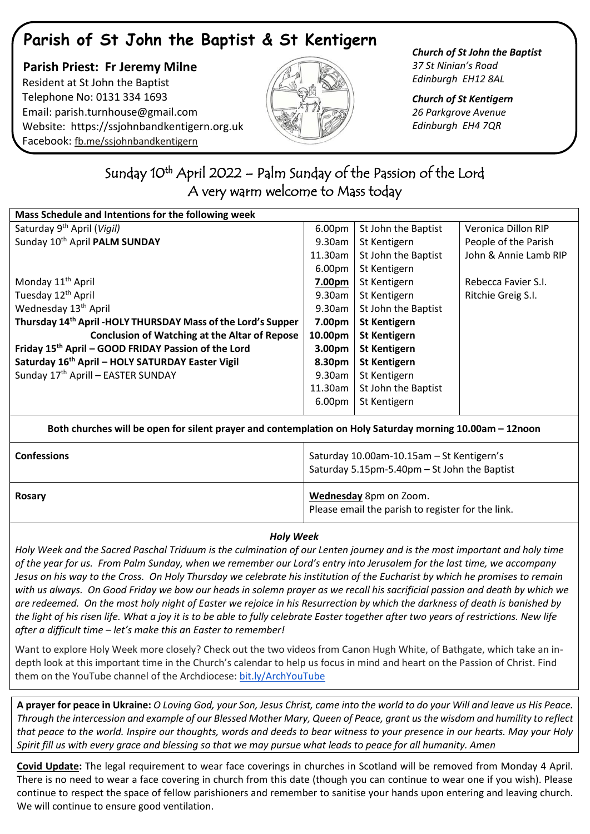# **Parish of St John the Baptist & St Kentigern**

 **Parish Priest: Fr Jeremy Milne** Resident at St John the Baptist Telephone No: 0131 334 1693 Email: [parish.turnhouse@gmail.com](mailto:parish.turnhouse@gmail.com)  Website: [https://ssjohnbandkentigern.org.uk](https://ssjohnbandkentigern.org.uk/) Facebook: [fb.me/ssjohnbandkentigern](https://fb.me/ssjohnbandkentigern)



*Church of St John the Baptist 37 St Ninian's Road Edinburgh EH12 8AL*

*Church of St Kentigern 26 Parkgrove Avenue Edinburgh EH4 7QR*

## ٦ Sunday 10<sup>th</sup> April 2022 – Palm Sunday of the Passion of the Lord A very warm welcome to Mass today

| Mass Schedule and Intentions for the following week                       |                    |                     |                       |  |
|---------------------------------------------------------------------------|--------------------|---------------------|-----------------------|--|
| Saturday 9 <sup>th</sup> April (Vigil)                                    | 6.00pm             | St John the Baptist | Veronica Dillon RIP   |  |
| Sunday 10th April PALM SUNDAY                                             | 9.30am             | St Kentigern        | People of the Parish  |  |
|                                                                           | 11.30am            | St John the Baptist | John & Annie Lamb RIP |  |
|                                                                           | 6.00pm             | St Kentigern        |                       |  |
| Monday 11 <sup>th</sup> April                                             | 7.00pm             | St Kentigern        | Rebecca Favier S.I.   |  |
| Tuesday 12 <sup>th</sup> April                                            | 9.30am             | St Kentigern        | Ritchie Greig S.I.    |  |
| Wednesday 13 <sup>th</sup> April                                          | 9.30am             | St John the Baptist |                       |  |
| Thursday 14 <sup>th</sup> April - HOLY THURSDAY Mass of the Lord's Supper | 7.00pm             | <b>St Kentigern</b> |                       |  |
| <b>Conclusion of Watching at the Altar of Repose</b>                      | 10.00pm            | <b>St Kentigern</b> |                       |  |
| Friday 15 <sup>th</sup> April - GOOD FRIDAY Passion of the Lord           | 3.00 <sub>pm</sub> | <b>St Kentigern</b> |                       |  |
| Saturday 16 <sup>th</sup> April - HOLY SATURDAY Easter Vigil              | 8.30pm             | <b>St Kentigern</b> |                       |  |
| Sunday 17th Aprill - EASTER SUNDAY                                        | 9.30am             | St Kentigern        |                       |  |
|                                                                           | 11.30am            | St John the Baptist |                       |  |
|                                                                           | 6.00pm             | St Kentigern        |                       |  |
|                                                                           |                    |                     |                       |  |

| Both churches will be open for silent prayer and contemplation on Holy Saturday morning 10.00am – 12noon |                                                                                           |  |  |
|----------------------------------------------------------------------------------------------------------|-------------------------------------------------------------------------------------------|--|--|
| <b>Confessions</b>                                                                                       | Saturday 10.00am-10.15am - St Kentigern's<br>Saturday 5.15pm-5.40pm - St John the Baptist |  |  |
| <b>Rosary</b>                                                                                            | Wednesday 8pm on Zoom.<br>Please email the parish to register for the link.               |  |  |

#### *Holy Week*

*Holy Week and the Sacred Paschal Triduum is the culmination of our Lenten journey and is the most important and holy time of the year for us. From Palm Sunday, when we remember our Lord's entry into Jerusalem for the last time, we accompany Jesus on his way to the Cross. On Holy Thursday we celebrate his institution of the Eucharist by which he promises to remain with us always. On Good Friday we bow our heads in solemn prayer as we recall his sacrificial passion and death by which we are redeemed. On the most holy night of Easter we rejoice in his Resurrection by which the darkness of death is banished by the light of his risen life. What a joy it is to be able to fully celebrate Easter together after two years of restrictions. New life after a difficult time – let's make this an Easter to remember!*

Want to explore Holy Week more closely? Check out the two videos from Canon Hugh White, of Bathgate, which take an indepth look at this important time in the Church's calendar to help us focus in mind and heart on the Passion of Christ. Find them on the YouTube channel of the Archdiocese: [bit.ly/ArchYouTube](https://www.youtube.com/channel/UCpeWTFr87oQNpdWGgv_G9bw/videos)

**A prayer for peace in Ukraine:** *O Loving God, your Son, Jesus Christ, came into the world to do your Will and leave us His Peace. Through the intercession and example of our Blessed Mother Mary, Queen of Peace, grant us the wisdom and humility to reflect that peace to the world. Inspire our thoughts, words and deeds to bear witness to your presence in our hearts. May your Holy Spirit fill us with every grace and blessing so that we may pursue what leads to peace for all humanity. Amen*

**Covid Update:** The legal requirement to wear face coverings in churches in Scotland will be removed from Monday 4 April. There is no need to wear a face covering in church from this date (though you can continue to wear one if you wish). Please continue to respect the space of fellow parishioners and remember to sanitise your hands upon entering and leaving church. We will continue to ensure good ventilation.